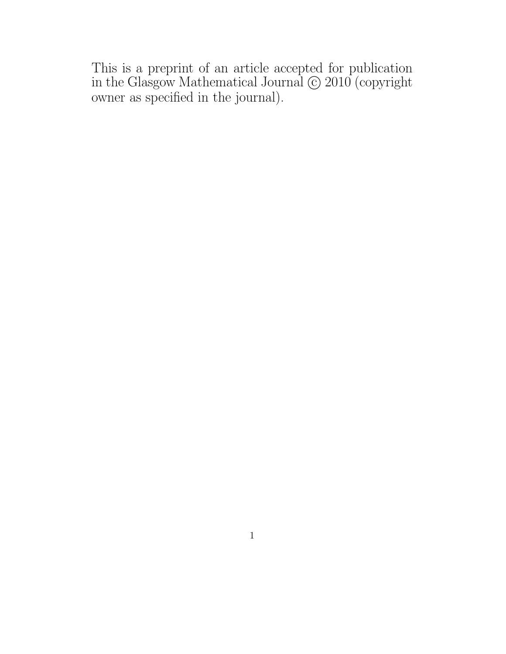This is a preprint of an article accepted for publication in the Glasgow Mathematical Journal  $\odot$  2010 (copyright owner as specified in the journal).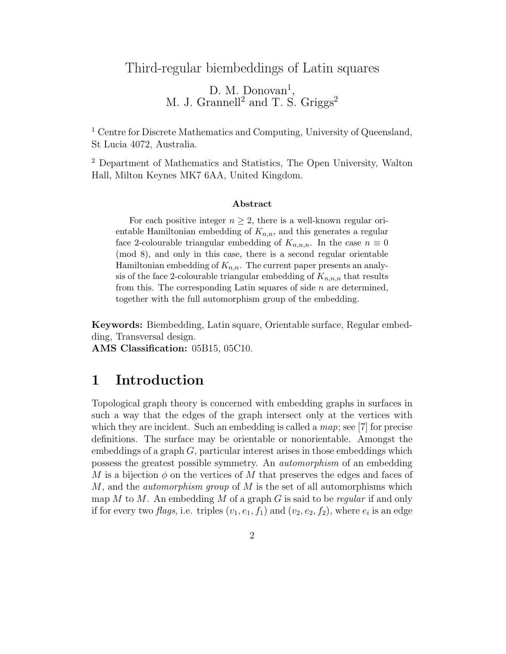## Third-regular biembeddings of Latin squares

D. M. Donovan<sup>1</sup>, M. J. Grannell<sup>2</sup> and T. S. Griggs<sup>2</sup>

<sup>1</sup> Centre for Discrete Mathematics and Computing, University of Queensland, St Lucia 4072, Australia.

<sup>2</sup> Department of Mathematics and Statistics, The Open University, Walton Hall, Milton Keynes MK7 6AA, United Kingdom.

### Abstract

For each positive integer  $n \geq 2$ , there is a well-known regular orientable Hamiltonian embedding of  $K_{n,n}$ , and this generates a regular face 2-colourable triangular embedding of  $K_{n,n,n}$ . In the case  $n \equiv 0$ (mod 8), and only in this case, there is a second regular orientable Hamiltonian embedding of  $K_{n,n}$ . The current paper presents an analysis of the face 2-colourable triangular embedding of  $K_{n,n,n}$  that results from this. The corresponding Latin squares of side  $n$  are determined, together with the full automorphism group of the embedding.

Keywords: Biembedding, Latin square, Orientable surface, Regular embedding, Transversal design.

AMS Classification: 05B15, 05C10.

## 1 Introduction

Topological graph theory is concerned with embedding graphs in surfaces in such a way that the edges of the graph intersect only at the vertices with which they are incident. Such an embedding is called a *map*; see [7] for precise definitions. The surface may be orientable or nonorientable. Amongst the embeddings of a graph  $G$ , particular interest arises in those embeddings which possess the greatest possible symmetry. An automorphism of an embedding M is a bijection  $\phi$  on the vertices of M that preserves the edges and faces of M, and the *automorphism group* of  $M$  is the set of all automorphisms which map M to M. An embedding M of a graph G is said to be regular if and only if for every two *flags*, i.e. triples  $(v_1, e_1, f_1)$  and  $(v_2, e_2, f_2)$ , where  $e_i$  is an edge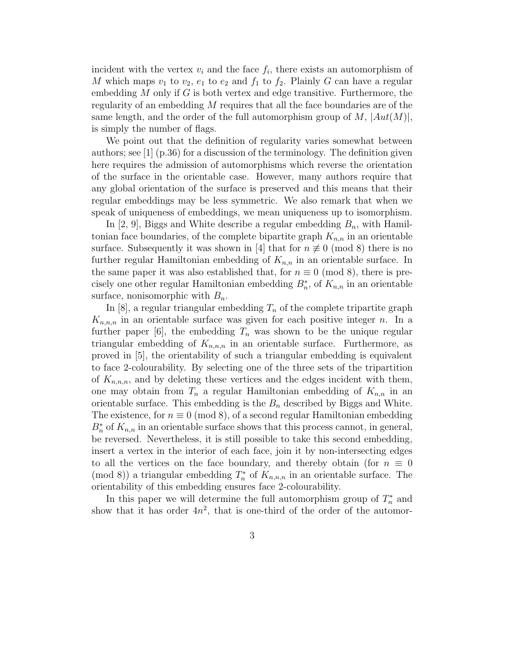incident with the vertex  $v_i$  and the face  $f_i$ , there exists an automorphism of M which maps  $v_1$  to  $v_2$ ,  $e_1$  to  $e_2$  and  $f_1$  to  $f_2$ . Plainly G can have a regular embedding  $M$  only if  $G$  is both vertex and edge transitive. Furthermore, the regularity of an embedding M requires that all the face boundaries are of the same length, and the order of the full automorphism group of  $M$ ,  $|Aut(M)|$ , is simply the number of flags.

We point out that the definition of regularity varies somewhat between authors; see  $\left[1\right]$  (p.36) for a discussion of the terminology. The definition given here requires the admission of automorphisms which reverse the orientation of the surface in the orientable case. However, many authors require that any global orientation of the surface is preserved and this means that their regular embeddings may be less symmetric. We also remark that when we speak of uniqueness of embeddings, we mean uniqueness up to isomorphism.

In  $[2, 9]$ , Biggs and White describe a regular embedding  $B_n$ , with Hamiltonian face boundaries, of the complete bipartite graph  $K_{n,n}$  in an orientable surface. Subsequently it was shown in [4] that for  $n \not\equiv 0 \pmod{8}$  there is no further regular Hamiltonian embedding of  $K_{n,n}$  in an orientable surface. In the same paper it was also established that, for  $n \equiv 0 \pmod{8}$ , there is precisely one other regular Hamiltonian embedding  $B_n^*$ , of  $K_{n,n}$  in an orientable surface, nonisomorphic with  $B_n$ .

In  $[8]$ , a regular triangular embedding  $T_n$  of the complete tripartite graph  $K_{n,n,n}$  in an orientable surface was given for each positive integer n. In a further paper [6], the embedding  $T_n$  was shown to be the unique regular triangular embedding of  $K_{n,n,n}$  in an orientable surface. Furthermore, as proved in [5], the orientability of such a triangular embedding is equivalent to face 2-colourability. By selecting one of the three sets of the tripartition of  $K_{n,n,n}$ , and by deleting these vertices and the edges incident with them, one may obtain from  $T_n$  a regular Hamiltonian embedding of  $K_{n,n}$  in an orientable surface. This embedding is the  $B_n$  described by Biggs and White. The existence, for  $n \equiv 0 \pmod{8}$ , of a second regular Hamiltonian embedding  $B_n^*$  of  $K_{n,n}$  in an orientable surface shows that this process cannot, in general, be reversed. Nevertheless, it is still possible to take this second embedding, insert a vertex in the interior of each face, join it by non-intersecting edges to all the vertices on the face boundary, and thereby obtain (for  $n \equiv 0$ ) (mod 8)) a triangular embedding  $T_n^*$ <sup>\*\*</sup> of  $K_{n,n,n}$  in an orientable surface. The orientability of this embedding ensures face 2-colourability.

In this paper we will determine the full automorphism group of  $T_n^*$  and show that it has order  $4n^2$ , that is one-third of the order of the automor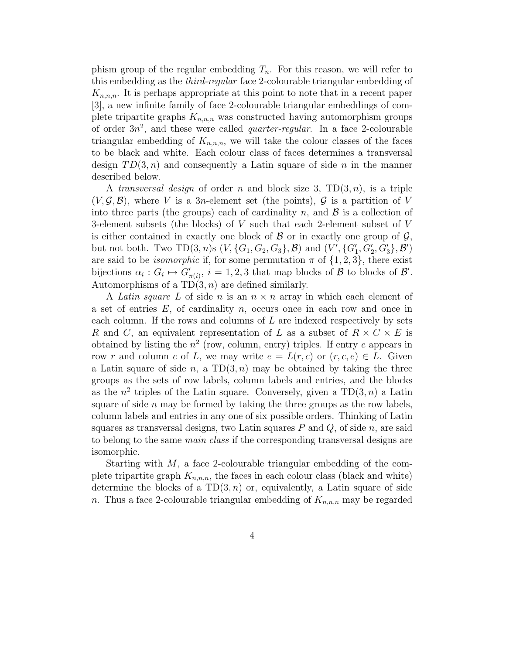phism group of the regular embedding  $T_n$ . For this reason, we will refer to this embedding as the third-regular face 2-colourable triangular embedding of  $K_{n,n,n}$ . It is perhaps appropriate at this point to note that in a recent paper [3], a new infinite family of face 2-colourable triangular embeddings of complete tripartite graphs  $K_{n,n,n}$  was constructed having automorphism groups of order  $3n^2$ , and these were called *quarter-regular*. In a face 2-colourable triangular embedding of  $K_{n,n,n}$ , we will take the colour classes of the faces to be black and white. Each colour class of faces determines a transversal design  $TD(3, n)$  and consequently a Latin square of side n in the manner described below.

A transversal design of order n and block size 3,  $TD(3, n)$ , is a triple  $(V, \mathcal{G}, \mathcal{B})$ , where V is a 3n-element set (the points),  $\mathcal{G}$  is a partition of V into three parts (the groups) each of cardinality n, and  $\mathcal{B}$  is a collection of 3-element subsets (the blocks) of V such that each 2-element subset of V is either contained in exactly one block of  $\beta$  or in exactly one group of  $\mathcal{G}$ , but not both. Two  $TD(3, n)$ s  $(V, \{G_1, G_2, G_3\}, \mathcal{B})$  and  $(V', \{G'_1, G'_2, G'_3\}, \mathcal{B}')$ are said to be *isomorphic* if, for some permutation  $\pi$  of  $\{1, 2, 3\}$ , there exist bijections  $\alpha_i : G_i \mapsto G'_{\pi(i)}, i = 1, 2, 3$  that map blocks of  $\mathcal{B}$  to blocks of  $\mathcal{B}'$ . Automorphisms of a  $TD(3, n)$  are defined similarly.

A Latin square L of side n is an  $n \times n$  array in which each element of a set of entries  $E$ , of cardinality  $n$ , occurs once in each row and once in each column. If the rows and columns of  $L$  are indexed respectively by sets R and C, an equivalent representation of L as a subset of  $R \times C \times E$  is obtained by listing the  $n^2$  (row, column, entry) triples. If entry e appears in row r and column c of L, we may write  $e = L(r, c)$  or  $(r, c, e) \in L$ . Given a Latin square of side n, a  $TD(3, n)$  may be obtained by taking the three groups as the sets of row labels, column labels and entries, and the blocks as the  $n^2$  triples of the Latin square. Conversely, given a TD(3, n) a Latin square of side  $n$  may be formed by taking the three groups as the row labels, column labels and entries in any one of six possible orders. Thinking of Latin squares as transversal designs, two Latin squares  $P$  and  $Q$ , of side n, are said to belong to the same main class if the corresponding transversal designs are isomorphic.

Starting with M, a face 2-colourable triangular embedding of the complete tripartite graph  $K_{n,n,n}$ , the faces in each colour class (black and white) determine the blocks of a  $TD(3, n)$  or, equivalently, a Latin square of side n. Thus a face 2-colourable triangular embedding of  $K_{n,n,n}$  may be regarded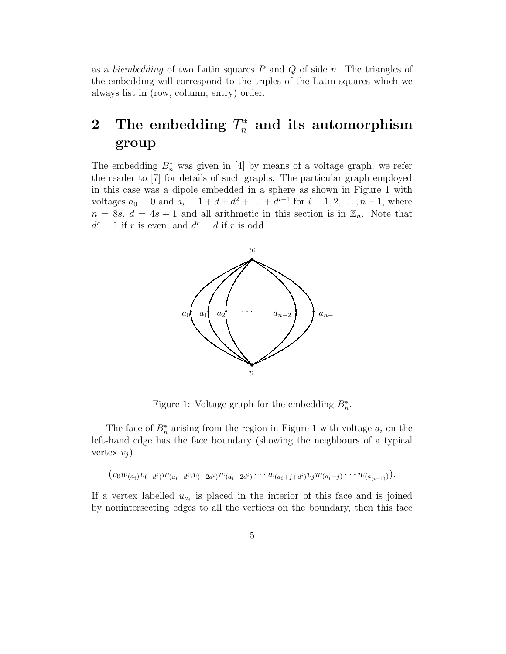as a *biembedding* of two Latin squares  $P$  and  $Q$  of side n. The triangles of the embedding will correspond to the triples of the Latin squares which we always list in (row, column, entry) order.

# 2 The embedding  $T_n^*$  and its automorphism group

The embedding  $B_n^*$  was given in [4] by means of a voltage graph; we refer the reader to [7] for details of such graphs. The particular graph employed in this case was a dipole embedded in a sphere as shown in Figure 1 with voltages  $a_0 = 0$  and  $a_i = 1 + d + d^2 + \ldots + d^{i-1}$  for  $i = 1, 2, \ldots, n-1$ , where  $n = 8s$ ,  $d = 4s + 1$  and all arithmetic in this section is in  $\mathbb{Z}_n$ . Note that  $d^r = 1$  if r is even, and  $d^r = d$  if r is odd.



Figure 1: Voltage graph for the embedding  $B_n^*$ .

The face of  $B_n^*$  arising from the region in Figure 1 with voltage  $a_i$  on the left-hand edge has the face boundary (showing the neighbours of a typical vertex  $v_j$ )

$$
(v_0w_{(a_i)}v_{(-d^i)}w_{(a_i-d^i)}v_{(-2d^i)}w_{(a_i-2d^i)}\cdots w_{(a_i+j+d^i)}v_jw_{(a_i+j)}\cdots w_{(a_{(i+1)})}).
$$

If a vertex labelled  $u_{a_i}$  is placed in the interior of this face and is joined by nonintersecting edges to all the vertices on the boundary, then this face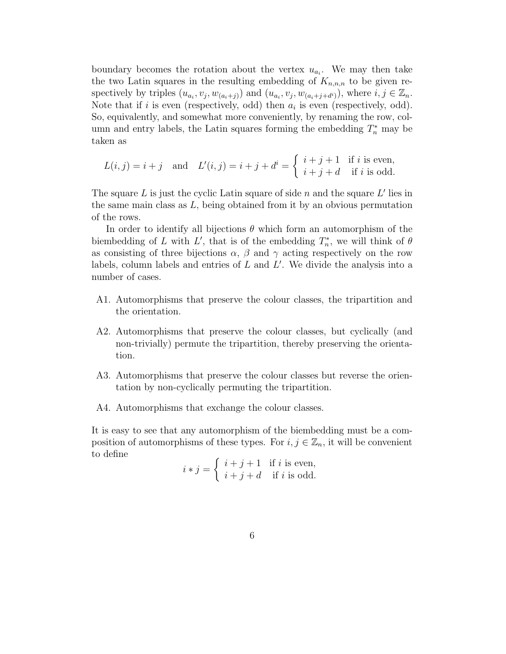boundary becomes the rotation about the vertex  $u_{a_i}$ . We may then take the two Latin squares in the resulting embedding of  $K_{n,n,n}$  to be given respectively by triples  $(u_{a_i}, v_j, w_{(a_i+j)})$  and  $(u_{a_i}, v_j, w_{(a_i+j+d_i)})$ , where  $i, j \in \mathbb{Z}_n$ . Note that if i is even (respectively, odd) then  $a_i$  is even (respectively, odd). So, equivalently, and somewhat more conveniently, by renaming the row, column and entry labels, the Latin squares forming the embedding  $T_n^*$  may be taken as

$$
L(i,j) = i+j \quad \text{and} \quad L'(i,j) = i+j+d^i = \begin{cases} i+j+1 & \text{if } i \text{ is even,} \\ i+j+d & \text{if } i \text{ is odd.} \end{cases}
$$

The square  $L$  is just the cyclic Latin square of side  $n$  and the square  $L'$  lies in the same main class as  $L$ , being obtained from it by an obvious permutation of the rows.

In order to identify all bijections  $\theta$  which form an automorphism of the biembedding of L with L', that is of the embedding  $T_n^*$  $n^*$ , we will think of  $\theta$ as consisting of three bijections  $\alpha$ ,  $\beta$  and  $\gamma$  acting respectively on the row labels, column labels and entries of  $L$  and  $L'$ . We divide the analysis into a number of cases.

- A1. Automorphisms that preserve the colour classes, the tripartition and the orientation.
- A2. Automorphisms that preserve the colour classes, but cyclically (and non-trivially) permute the tripartition, thereby preserving the orientation.
- A3. Automorphisms that preserve the colour classes but reverse the orientation by non-cyclically permuting the tripartition.
- A4. Automorphisms that exchange the colour classes.

It is easy to see that any automorphism of the biembedding must be a composition of automorphisms of these types. For  $i, j \in \mathbb{Z}_n$ , it will be convenient to define

$$
i * j = \begin{cases} i+j+1 & \text{if } i \text{ is even,} \\ i+j+d & \text{if } i \text{ is odd.} \end{cases}
$$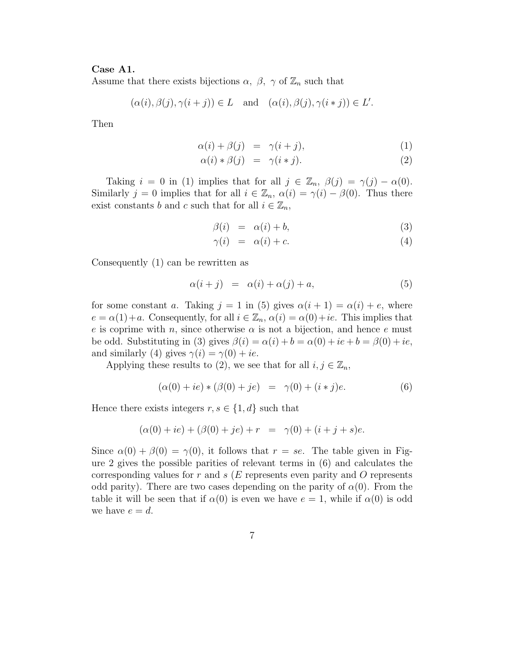### Case A1.

Assume that there exists bijections  $\alpha$ ,  $\beta$ ,  $\gamma$  of  $\mathbb{Z}_n$  such that

$$
(\alpha(i), \beta(j), \gamma(i+j)) \in L
$$
 and  $(\alpha(i), \beta(j), \gamma(i * j)) \in L'.$ 

Then

$$
\alpha(i) + \beta(j) = \gamma(i+j), \tag{1}
$$

$$
\alpha(i) * \beta(j) = \gamma(i * j). \tag{2}
$$

Taking  $i = 0$  in (1) implies that for all  $j \in \mathbb{Z}_n$ ,  $\beta(j) = \gamma(j) - \alpha(0)$ . Similarly  $j = 0$  implies that for all  $i \in \mathbb{Z}_n$ ,  $\alpha(i) = \gamma(i) - \beta(0)$ . Thus there exist constants b and c such that for all  $i \in \mathbb{Z}_n$ ,

$$
\beta(i) = \alpha(i) + b,\tag{3}
$$

$$
\gamma(i) = \alpha(i) + c. \tag{4}
$$

Consequently (1) can be rewritten as

$$
\alpha(i+j) = \alpha(i) + \alpha(j) + a,\tag{5}
$$

for some constant a. Taking  $j = 1$  in (5) gives  $\alpha(i + 1) = \alpha(i) + e$ , where  $e = \alpha(1) + a$ . Consequently, for all  $i \in \mathbb{Z}_n$ ,  $\alpha(i) = \alpha(0) + ie$ . This implies that e is coprime with n, since otherwise  $\alpha$  is not a bijection, and hence e must be odd. Substituting in (3) gives  $\beta(i) = \alpha(i) + b = \alpha(0) + ie + b = \beta(0) + ie$ , and similarly (4) gives  $\gamma(i) = \gamma(0) + ie$ .

Applying these results to (2), we see that for all  $i, j \in \mathbb{Z}_n$ ,

$$
(\alpha(0) + ie) * (\beta(0) + je) = \gamma(0) + (i * j)e.
$$
 (6)

Hence there exists integers  $r, s \in \{1, d\}$  such that

$$
(\alpha(0) + ie) + (\beta(0) + je) + r = \gamma(0) + (i + j + s)e.
$$

Since  $\alpha(0) + \beta(0) = \gamma(0)$ , it follows that  $r = se$ . The table given in Figure 2 gives the possible parities of relevant terms in (6) and calculates the corresponding values for r and s  $(E$  represents even parity and O represents odd parity). There are two cases depending on the parity of  $\alpha(0)$ . From the table it will be seen that if  $\alpha(0)$  is even we have  $e = 1$ , while if  $\alpha(0)$  is odd we have  $e = d$ .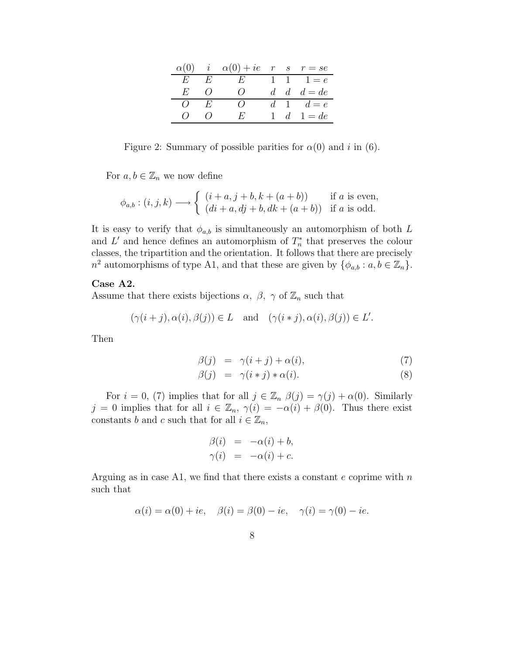| $\alpha(0)$ i |                  | $\alpha(0) + ie \quad r \quad s \quad r = se$ |       |                         |
|---------------|------------------|-----------------------------------------------|-------|-------------------------|
| E             | E                | $E$ $\overline{\phantom{a}}$                  |       | 1 1 1 $e$               |
| $H^r_r$       | $\left( \right)$ | ( )                                           | $d -$ | $d \quad d = de$        |
| $\Omega$      | E                |                                               |       | $d \quad 1 \quad d = e$ |
| $\iota$       | $\left( \right)$ | $H^1$                                         | 1.    | $d \quad 1 = de$        |

Figure 2: Summary of possible parities for  $\alpha(0)$  and i in (6).

For  $a, b \in \mathbb{Z}_n$  we now define

$$
\phi_{a,b} : (i,j,k) \longrightarrow \begin{cases} (i+a, j+b, k+(a+b)) & \text{if } a \text{ is even,} \\ (di+a, dj+b, dk+(a+b)) & \text{if } a \text{ is odd.} \end{cases}
$$

It is easy to verify that  $\phi_{a,b}$  is simultaneously an automorphism of both L and L' and hence defines an automorphism of  $T_n^*$  $n \atop n$  that preserves the colour classes, the tripartition and the orientation. It follows that there are precisely  $n^2$  automorphisms of type A1, and that these are given by  $\{\phi_{a,b}: a, b \in \mathbb{Z}_n\}.$ 

#### Case A2.

Assume that there exists bijections  $\alpha$ ,  $\beta$ ,  $\gamma$  of  $\mathbb{Z}_n$  such that

$$
(\gamma(i+j), \alpha(i), \beta(j)) \in L
$$
 and  $(\gamma(i * j), \alpha(i), \beta(j)) \in L'.$ 

Then

$$
\beta(j) = \gamma(i+j) + \alpha(i), \tag{7}
$$

$$
\beta(j) = \gamma(i * j) * \alpha(i). \tag{8}
$$

For  $i = 0$ , (7) implies that for all  $j \in \mathbb{Z}_n$   $\beta(j) = \gamma(j) + \alpha(0)$ . Similarly j = 0 implies that for all  $i \in \mathbb{Z}_n$ ,  $\gamma(i) = -\alpha(i) + \beta(0)$ . Thus there exist constants b and c such that for all  $i \in \mathbb{Z}_n$ ,

$$
\begin{array}{rcl}\n\beta(i) & = & -\alpha(i) + b, \\
\gamma(i) & = & -\alpha(i) + c.\n\end{array}
$$

Arguing as in case A1, we find that there exists a constant  $e$  coprime with  $n$ such that

$$
\alpha(i) = \alpha(0) + ie, \quad \beta(i) = \beta(0) - ie, \quad \gamma(i) = \gamma(0) - ie.
$$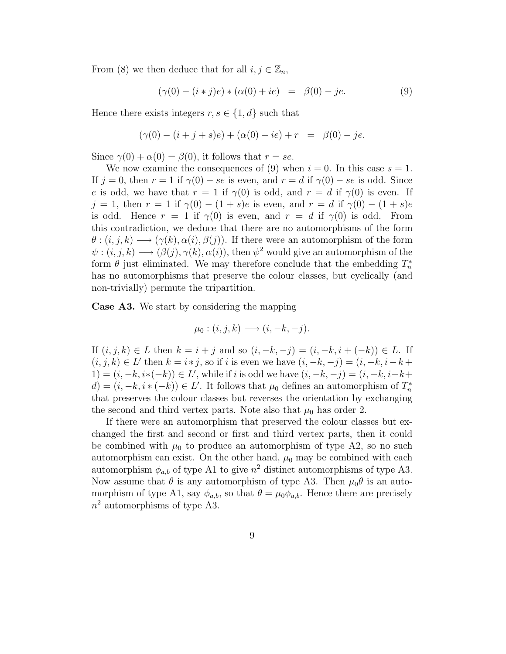From (8) we then deduce that for all  $i, j \in \mathbb{Z}_n$ ,

$$
(\gamma(0) - (i * j)e) * (\alpha(0) + ie) = \beta(0) - je.
$$
 (9)

Hence there exists integers  $r, s \in \{1, d\}$  such that

$$
(\gamma(0) - (i + j + s)e) + (\alpha(0) + ie) + r = \beta(0) - je.
$$

Since  $\gamma(0) + \alpha(0) = \beta(0)$ , it follows that  $r = se$ .

We now examine the consequences of (9) when  $i = 0$ . In this case  $s = 1$ . If  $j = 0$ , then  $r = 1$  if  $\gamma(0) - se$  is even, and  $r = d$  if  $\gamma(0) - se$  is odd. Since e is odd, we have that  $r = 1$  if  $\gamma(0)$  is odd, and  $r = d$  if  $\gamma(0)$  is even. If j = 1, then  $r = 1$  if  $\gamma(0) - (1 + s)e$  is even, and  $r = d$  if  $\gamma(0) - (1 + s)e$ is odd. Hence  $r = 1$  if  $\gamma(0)$  is even, and  $r = d$  if  $\gamma(0)$  is odd. From this contradiction, we deduce that there are no automorphisms of the form  $\theta$ :  $(i, j, k) \longrightarrow (\gamma(k), \alpha(i), \beta(j))$ . If there were an automorphism of the form  $\psi: (i, j, k) \longrightarrow (\beta(j), \gamma(k), \alpha(i))$ , then  $\psi^2$  would give an automorphism of the form  $\theta$  just eliminated. We may therefore conclude that the embedding  $T_n^*$ n has no automorphisms that preserve the colour classes, but cyclically (and non-trivially) permute the tripartition.

Case A3. We start by considering the mapping

$$
\mu_0: (i,j,k) \longrightarrow (i,-k,-j).
$$

If  $(i, j, k) \in L$  then  $k = i + j$  and so  $(i, -k, -j) = (i, -k, i + (-k)) \in L$ . If  $(i, j, k) \in L'$  then  $k = i * j$ , so if i is even we have  $(i, -k, -j) = (i, -k, i-k+1)$  $1) = (i, -k, i*(-k)) \in L'$ , while if i is odd we have  $(i, -k, -j) = (i, -k, i-k+1)$  $d) = (i, -k, i * (-k)) \in L'$ . It follows that  $\mu_0$  defines an automorphism of  $T_n^*$ n that preserves the colour classes but reverses the orientation by exchanging the second and third vertex parts. Note also that  $\mu_0$  has order 2.

If there were an automorphism that preserved the colour classes but exchanged the first and second or first and third vertex parts, then it could be combined with  $\mu_0$  to produce an automorphism of type A2, so no such automorphism can exist. On the other hand,  $\mu_0$  may be combined with each automorphism  $\phi_{a,b}$  of type A1 to give  $n^2$  distinct automorphisms of type A3. Now assume that  $\theta$  is any automorphism of type A3. Then  $\mu_0 \theta$  is an automorphism of type A1, say  $\phi_{a,b}$ , so that  $\theta = \mu_0 \phi_{a,b}$ . Hence there are precisely  $n^2$  automorphisms of type A3.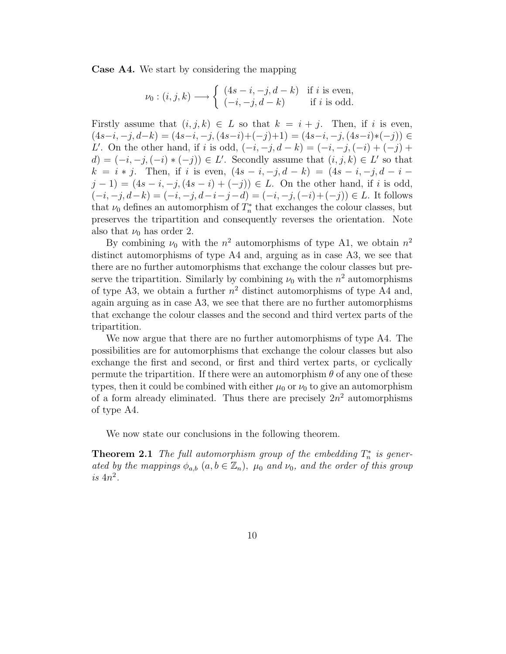Case A4. We start by considering the mapping

$$
\nu_0: (i, j, k) \longrightarrow \begin{cases} (4s-i, -j, d-k) & \text{if } i \text{ is even,} \\ (-i, -j, d-k) & \text{if } i \text{ is odd.} \end{cases}
$$

Firstly assume that  $(i, j, k) \in L$  so that  $k = i + j$ . Then, if i is even,  $(4s-i, -j, d-k) = (4s-i, -j, (4s-i)+(-j)+1) = (4s-i, -j, (4s-i)*(-j)) \in$ L'. On the other hand, if i is odd,  $(-i, -j, d - k) = (-i, -j, (-i) + (-j) + (-j)$  $d) = (-i, -j, (-i) * (-j)) \in L'$ . Secondly assume that  $(i, j, k) \in L'$  so that  $k = i * j$ . Then, if i is even,  $(4s - i, -j, d - k) = (4s - i, -j, d - i - j, d - i)$  $j-1 = (4s - i, -j, (4s - i) + (-j)) \in L$ . On the other hand, if i is odd,  $(-i, -j, d-k) = (-i, -j, d-i-j-d) = (-i, -j, (-i)+(-j)) \in L$ . It follows that  $\nu_0$  defines an automorphism of  $T_n^*$  $n \atop n$  that exchanges the colour classes, but preserves the tripartition and consequently reverses the orientation. Note also that  $\nu_0$  has order 2.

By combining  $\nu_0$  with the  $n^2$  automorphisms of type A1, we obtain  $n^2$ distinct automorphisms of type A4 and, arguing as in case A3, we see that there are no further automorphisms that exchange the colour classes but preserve the tripartition. Similarly by combining  $\nu_0$  with the  $n^2$  automorphisms of type A3, we obtain a further  $n^2$  distinct automorphisms of type A4 and, again arguing as in case A3, we see that there are no further automorphisms that exchange the colour classes and the second and third vertex parts of the tripartition.

We now argue that there are no further automorphisms of type A4. The possibilities are for automorphisms that exchange the colour classes but also exchange the first and second, or first and third vertex parts, or cyclically permute the tripartition. If there were an automorphism  $\theta$  of any one of these types, then it could be combined with either  $\mu_0$  or  $\nu_0$  to give an automorphism of a form already eliminated. Thus there are precisely  $2n^2$  automorphisms of type A4.

We now state our conclusions in the following theorem.

**Theorem 2.1** The full automorphism group of the embedding  $T_n^*$  $n^*$  is generated by the mappings  $\phi_{a,b}$   $(a, b \in \mathbb{Z}_n)$ ,  $\mu_0$  and  $\nu_0$ , and the order of this group is  $4n^2$ .